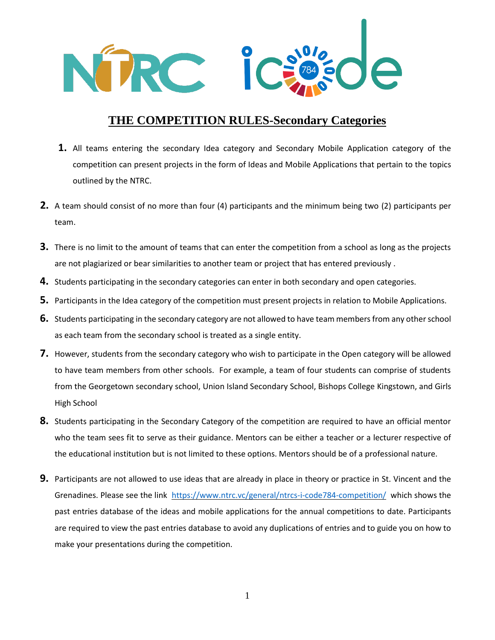

## **THE COMPETITION RULES-Secondary Categories**

- **1.** All teams entering the secondary Idea category and Secondary Mobile Application category of the competition can present projects in the form of Ideas and Mobile Applications that pertain to the topics outlined by the NTRC.
- **2.** A team should consist of no more than four (4) participants and the minimum being two (2) participants per team.
- **3.** There is no limit to the amount of teams that can enter the competition from a school as long as the projects are not plagiarized or bear similarities to another team or project that has entered previously .
- **4.** Students participating in the secondary categories can enter in both secondary and open categories.
- **5.** Participants in the Idea category of the competition must present projects in relation to Mobile Applications.
- **6.** Students participating in the secondary category are not allowed to have team members from any other school as each team from the secondary school is treated as a single entity.
- **7.** However, students from the secondary category who wish to participate in the Open category will be allowed to have team members from other schools. For example, a team of four students can comprise of students from the Georgetown secondary school, Union Island Secondary School, Bishops College Kingstown, and Girls High School
- **8.** Students participating in the Secondary Category of the competition are required to have an official mentor who the team sees fit to serve as their guidance. Mentors can be either a teacher or a lecturer respective of the educational institution but is not limited to these options. Mentors should be of a professional nature.
- **9.** Participants are not allowed to use ideas that are already in place in theory or practice in St. Vincent and the Grenadines. Please see the link <https://www.ntrc.vc/general/ntrcs-i-code784-competition/> which shows the past entries database of the ideas and mobile applications for the annual competitions to date. Participants are required to view the past entries database to avoid any duplications of entries and to guide you on how to make your presentations during the competition.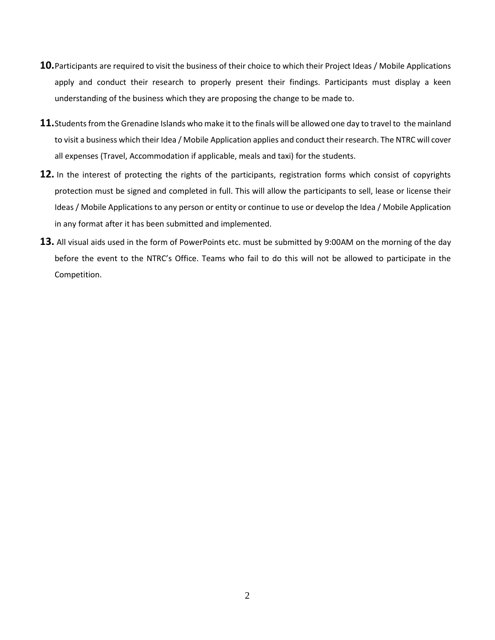- **10.**Participants are required to visit the business of their choice to which their Project Ideas / Mobile Applications apply and conduct their research to properly present their findings. Participants must display a keen understanding of the business which they are proposing the change to be made to.
- **11.**Students from the Grenadine Islands who make it to the finals will be allowed one day to travel to the mainland to visit a business which their Idea / Mobile Application applies and conduct their research. The NTRC will cover all expenses (Travel, Accommodation if applicable, meals and taxi) for the students.
- **12.** In the interest of protecting the rights of the participants, registration forms which consist of copyrights protection must be signed and completed in full. This will allow the participants to sell, lease or license their Ideas / Mobile Applications to any person or entity or continue to use or develop the Idea / Mobile Application in any format after it has been submitted and implemented.
- **13.** All visual aids used in the form of PowerPoints etc. must be submitted by 9:00AM on the morning of the day before the event to the NTRC's Office. Teams who fail to do this will not be allowed to participate in the Competition.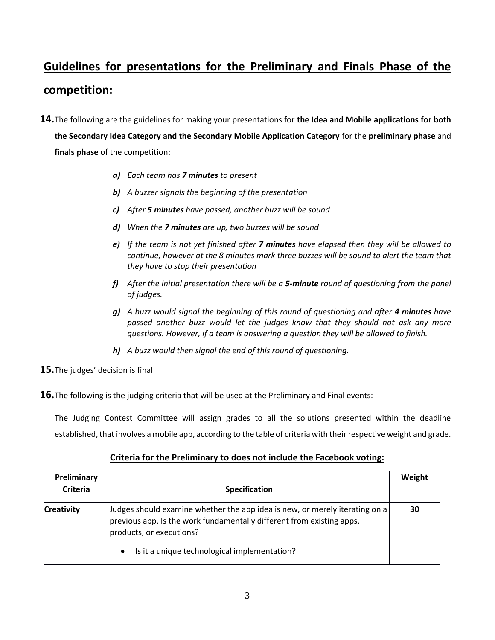## **Guidelines for presentations for the Preliminary and Finals Phase of the competition:**

- **14.**The following are the guidelines for making your presentations for **the Idea and Mobile applications for both the Secondary Idea Category and the Secondary Mobile Application Category** for the **preliminary phase** and **finals phase** of the competition:
	- *a) Each team has 7 minutes to present*
	- *b) A buzzer signals the beginning of the presentation*
	- *c) After 5 minutes have passed, another buzz will be sound*
	- *d) When the 7 minutes are up, two buzzes will be sound*
	- *e) If the team is not yet finished after 7 minutes have elapsed then they will be allowed to continue, however at the 8 minutes mark three buzzes will be sound to alert the team that they have to stop their presentation*
	- *f) After the initial presentation there will be a 5-minute round of questioning from the panel of judges.*
	- *g) A buzz would signal the beginning of this round of questioning and after 4 minutes have passed another buzz would let the judges know that they should not ask any more questions. However, if a team is answering a question they will be allowed to finish.*
	- *h) A buzz would then signal the end of this round of questioning.*
- **15.**The judges' decision is final

**16.**The following is the judging criteria that will be used at the Preliminary and Final events:

The Judging Contest Committee will assign grades to all the solutions presented within the deadline established, that involves a mobile app, according to the table of criteria with their respective weight and grade.

## **Criteria for the Preliminary to does not include the Facebook voting:**

| Preliminary<br>Criteria | <b>Specification</b>                                                                                                                                                                                                             |    |  |
|-------------------------|----------------------------------------------------------------------------------------------------------------------------------------------------------------------------------------------------------------------------------|----|--|
| <b>Creativity</b>       | Judges should examine whether the app idea is new, or merely iterating on a<br>previous app. Is the work fundamentally different from existing apps,<br>products, or executions?<br>Is it a unique technological implementation? | 30 |  |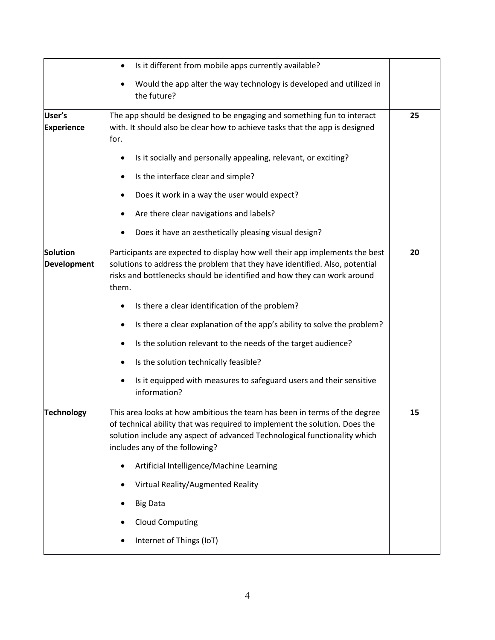|                                | Is it different from mobile apps currently available?                                                                                                                                                                                                                  |  |  |  |  |
|--------------------------------|------------------------------------------------------------------------------------------------------------------------------------------------------------------------------------------------------------------------------------------------------------------------|--|--|--|--|
|                                | Would the app alter the way technology is developed and utilized in<br>the future?                                                                                                                                                                                     |  |  |  |  |
| User's<br><b>Experience</b>    | The app should be designed to be engaging and something fun to interact<br>with. It should also be clear how to achieve tasks that the app is designed<br>for.                                                                                                         |  |  |  |  |
|                                | Is it socially and personally appealing, relevant, or exciting?<br>٠<br>Is the interface clear and simple?<br>٠                                                                                                                                                        |  |  |  |  |
|                                | Does it work in a way the user would expect?                                                                                                                                                                                                                           |  |  |  |  |
|                                | Are there clear navigations and labels?                                                                                                                                                                                                                                |  |  |  |  |
|                                | Does it have an aesthetically pleasing visual design?                                                                                                                                                                                                                  |  |  |  |  |
| <b>Solution</b><br>Development | Participants are expected to display how well their app implements the best<br>solutions to address the problem that they have identified. Also, potential<br>risks and bottlenecks should be identified and how they can work around<br>them.                         |  |  |  |  |
|                                | Is there a clear identification of the problem?                                                                                                                                                                                                                        |  |  |  |  |
|                                | Is there a clear explanation of the app's ability to solve the problem?<br>٠                                                                                                                                                                                           |  |  |  |  |
|                                | Is the solution relevant to the needs of the target audience?                                                                                                                                                                                                          |  |  |  |  |
|                                | Is the solution technically feasible?                                                                                                                                                                                                                                  |  |  |  |  |
|                                | Is it equipped with measures to safeguard users and their sensitive<br>$\bullet$<br>information?                                                                                                                                                                       |  |  |  |  |
| <b>Technology</b>              | This area looks at how ambitious the team has been in terms of the degree<br>of technical ability that was required to implement the solution. Does the<br>solution include any aspect of advanced Technological functionality which<br>includes any of the following? |  |  |  |  |
|                                | Artificial Intelligence/Machine Learning                                                                                                                                                                                                                               |  |  |  |  |
|                                | Virtual Reality/Augmented Reality                                                                                                                                                                                                                                      |  |  |  |  |
|                                | <b>Big Data</b>                                                                                                                                                                                                                                                        |  |  |  |  |
|                                | <b>Cloud Computing</b>                                                                                                                                                                                                                                                 |  |  |  |  |
|                                | Internet of Things (IoT)<br>٠                                                                                                                                                                                                                                          |  |  |  |  |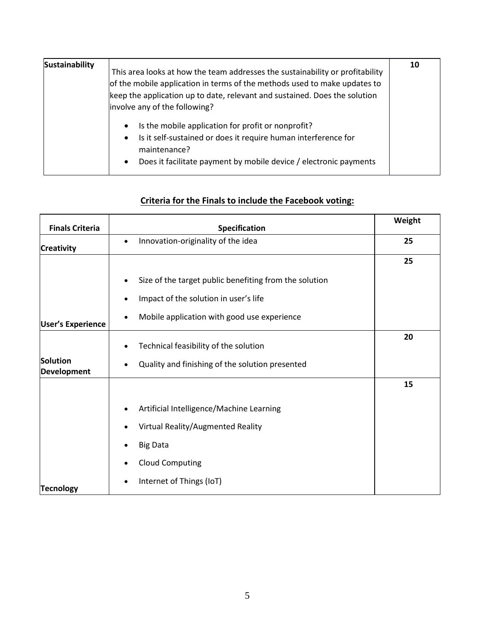## **Criteria for the Finals to include the Facebook voting:**

| <b>Finals Criteria</b>         | <b>Specification</b>                                     | Weight |  |
|--------------------------------|----------------------------------------------------------|--------|--|
| <b>Creativity</b>              | Innovation-originality of the idea<br>$\bullet$          | 25     |  |
|                                |                                                          | 25     |  |
|                                | Size of the target public benefiting from the solution   |        |  |
|                                | Impact of the solution in user's life<br>٠               |        |  |
| <b>User's Experience</b>       | Mobile application with good use experience<br>$\bullet$ |        |  |
|                                | Technical feasibility of the solution                    | 20     |  |
| Solution<br><b>Development</b> | Quality and finishing of the solution presented          |        |  |
|                                |                                                          | 15     |  |
|                                | Artificial Intelligence/Machine Learning                 |        |  |
|                                | Virtual Reality/Augmented Reality                        |        |  |
|                                | <b>Big Data</b>                                          |        |  |
|                                | <b>Cloud Computing</b>                                   |        |  |
| <b>Tecnology</b>               | Internet of Things (IoT)                                 |        |  |